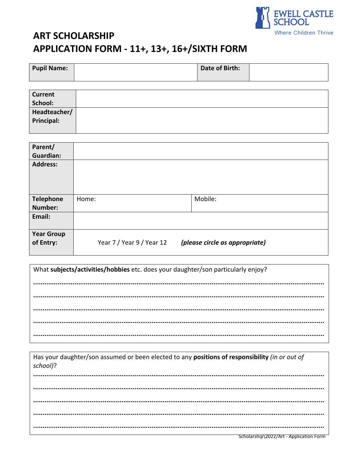

# **ART SCHOLARSHIP** APPLICATION FORM - 11+, 13+, 16+/SIXTH FORM

| <b>Pupil Name:</b> | Date of Birth: |  |
|--------------------|----------------|--|
|                    |                |  |

| <b>Current</b>    |  |
|-------------------|--|
| School:           |  |
| Headteacher/      |  |
| <b>Principal:</b> |  |
|                   |  |

| Parent/<br><b>Guardian:</b><br><b>Address:</b> |                           |                                |
|------------------------------------------------|---------------------------|--------------------------------|
| <b>Telephone</b><br><b>Number:</b>             | Home:                     | Mobile:                        |
| Email:                                         |                           |                                |
| <b>Year Group</b><br>of Entry:                 | Year 7 / Year 9 / Year 12 | (please circle as appropriate) |

What subjects/activities/hobbies etc. does your daughter/son particularly enjoy? 

| school)? | Has your daughter/son assumed or been elected to any positions of responsibility (in or out of |
|----------|------------------------------------------------------------------------------------------------|
|          |                                                                                                |
|          |                                                                                                |
|          |                                                                                                |
|          |                                                                                                |
|          |                                                                                                |

Scholarship\2022/Art - Application Form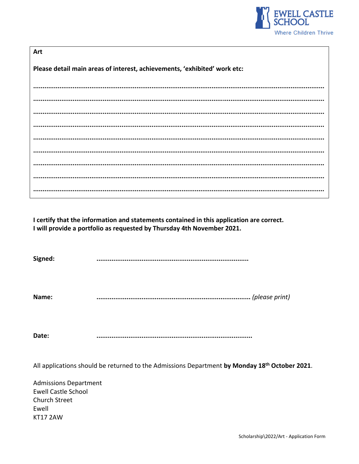

| Art                                                                       |
|---------------------------------------------------------------------------|
| Please detail main areas of interest, achievements, 'exhibited' work etc: |
|                                                                           |
|                                                                           |
|                                                                           |
|                                                                           |
|                                                                           |
|                                                                           |
|                                                                           |
|                                                                           |
|                                                                           |
|                                                                           |

I certify that the information and statements contained in this application are correct. I will provide a portfolio as requested by Thursday 4th November 2021.

Signed: 

Name: 

Date: 

All applications should be returned to the Admissions Department by Monday 18<sup>th</sup> October 2021.

**Admissions Department Ewell Castle School** Church Street Ewell **KT17 2AW**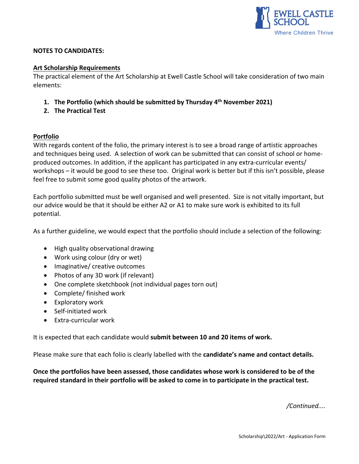

#### **NOTES TO CANDIDATES:**

#### **Art Scholarship Requirements**

The practical element of the Art Scholarship at Ewell Castle School will take consideration of two main elements:

- **1. The Portfolio (which should be submitted by Thursday 4 th November 2021)**
- **2. The Practical Test**

### **Portfolio**

With regards content of the folio, the primary interest is to see a broad range of artistic approaches and techniques being used. A selection of work can be submitted that can consist of school or homeproduced outcomes. In addition, if the applicant has participated in any extra-curricular events/ workshops – it would be good to see these too. Original work is better but if this isn't possible, please feel free to submit some good quality photos of the artwork.

Each portfolio submitted must be well organised and well presented. Size is not vitally important, but our advice would be that it should be either A2 or A1 to make sure work is exhibited to its full potential.

As a further guideline, we would expect that the portfolio should include a selection of the following:

- High quality observational drawing
- Work using colour (dry or wet)
- Imaginative/ creative outcomes
- Photos of any 3D work (if relevant)
- One complete sketchbook (not individual pages torn out)
- Complete/ finished work
- Exploratory work
- Self-initiated work
- Extra-curricular work

It is expected that each candidate would **submit between 10 and 20 items of work.**

Please make sure that each folio is clearly labelled with the **candidate's name and contact details.**

**Once the portfolios have been assessed, those candidates whose work is considered to be of the required standard in their portfolio will be asked to come in to participate in the practical test.**

*/Continued....*